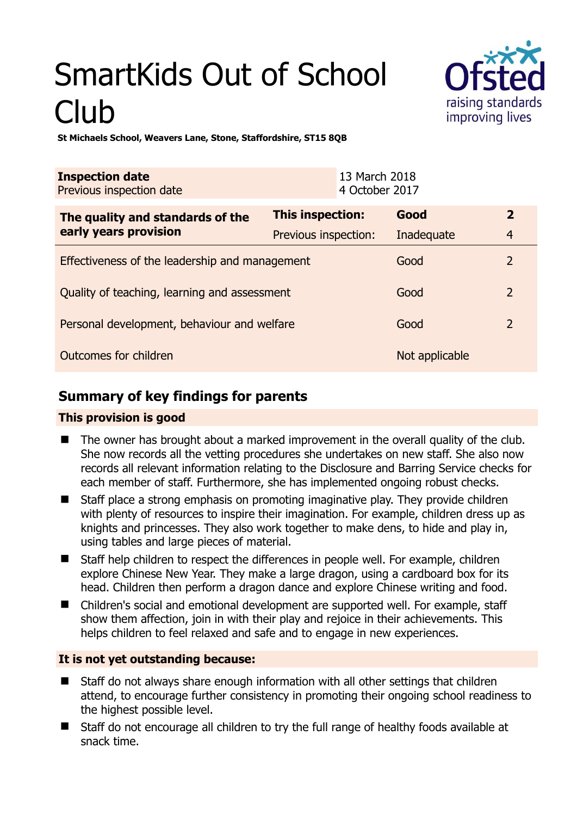# SmartKids Out of School Club



**St Michaels School, Weavers Lane, Stone, Staffordshire, ST15 8QB** 

| <b>Inspection date</b><br>Previous inspection date        |                      | 13 March 2018<br>4 October 2017 |                |                |
|-----------------------------------------------------------|----------------------|---------------------------------|----------------|----------------|
| The quality and standards of the<br>early years provision | This inspection:     |                                 | Good           | $\overline{2}$ |
|                                                           | Previous inspection: |                                 | Inadequate     | $\overline{4}$ |
| Effectiveness of the leadership and management            |                      |                                 | Good           | $\overline{2}$ |
| Quality of teaching, learning and assessment              |                      |                                 | Good           | $\overline{2}$ |
| Personal development, behaviour and welfare               |                      |                                 | Good           | $\overline{2}$ |
| <b>Outcomes for children</b>                              |                      |                                 | Not applicable |                |

## **Summary of key findings for parents**

#### **This provision is good**

- The owner has brought about a marked improvement in the overall quality of the club. She now records all the vetting procedures she undertakes on new staff. She also now records all relevant information relating to the Disclosure and Barring Service checks for each member of staff. Furthermore, she has implemented ongoing robust checks.
- Staff place a strong emphasis on promoting imaginative play. They provide children with plenty of resources to inspire their imagination. For example, children dress up as knights and princesses. They also work together to make dens, to hide and play in, using tables and large pieces of material.
- Staff help children to respect the differences in people well. For example, children explore Chinese New Year. They make a large dragon, using a cardboard box for its head. Children then perform a dragon dance and explore Chinese writing and food.
- Children's social and emotional development are supported well. For example, staff show them affection, join in with their play and rejoice in their achievements. This helps children to feel relaxed and safe and to engage in new experiences.

## **It is not yet outstanding because:**

- Staff do not always share enough information with all other settings that children attend, to encourage further consistency in promoting their ongoing school readiness to the highest possible level.
- Staff do not encourage all children to try the full range of healthy foods available at snack time.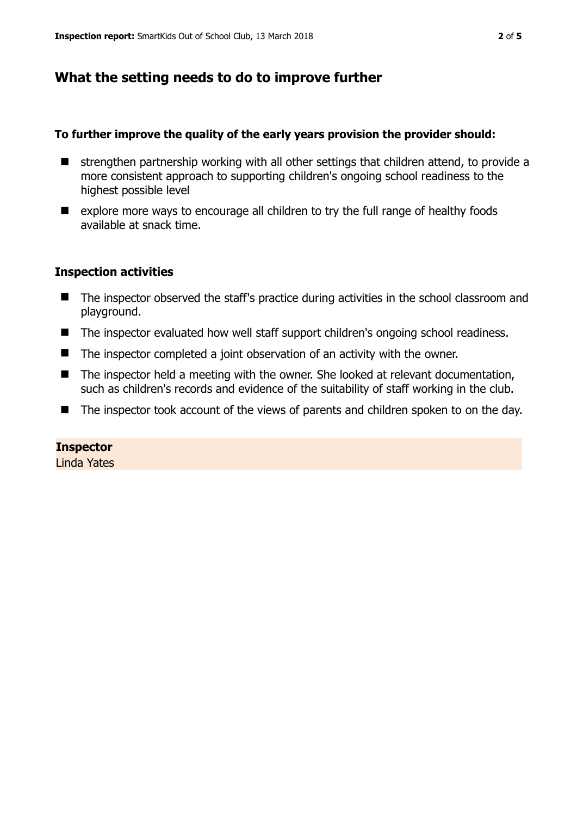## **What the setting needs to do to improve further**

#### **To further improve the quality of the early years provision the provider should:**

- $\blacksquare$  strengthen partnership working with all other settings that children attend, to provide a more consistent approach to supporting children's ongoing school readiness to the highest possible level
- explore more ways to encourage all children to try the full range of healthy foods available at snack time.

#### **Inspection activities**

- The inspector observed the staff's practice during activities in the school classroom and playground.
- The inspector evaluated how well staff support children's ongoing school readiness.
- The inspector completed a joint observation of an activity with the owner.
- The inspector held a meeting with the owner. She looked at relevant documentation, such as children's records and evidence of the suitability of staff working in the club.
- The inspector took account of the views of parents and children spoken to on the day.

#### **Inspector**

Linda Yates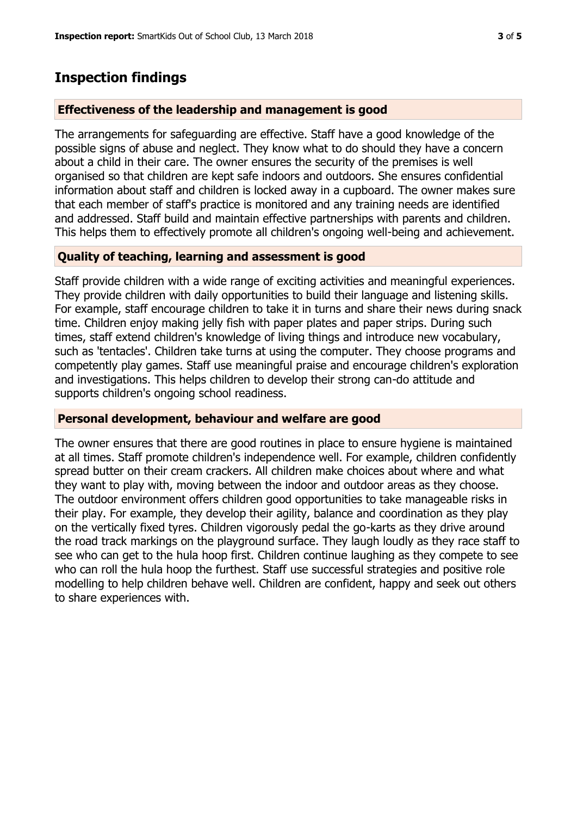## **Inspection findings**

#### **Effectiveness of the leadership and management is good**

The arrangements for safeguarding are effective. Staff have a good knowledge of the possible signs of abuse and neglect. They know what to do should they have a concern about a child in their care. The owner ensures the security of the premises is well organised so that children are kept safe indoors and outdoors. She ensures confidential information about staff and children is locked away in a cupboard. The owner makes sure that each member of staff's practice is monitored and any training needs are identified and addressed. Staff build and maintain effective partnerships with parents and children. This helps them to effectively promote all children's ongoing well-being and achievement.

## **Quality of teaching, learning and assessment is good**

Staff provide children with a wide range of exciting activities and meaningful experiences. They provide children with daily opportunities to build their language and listening skills. For example, staff encourage children to take it in turns and share their news during snack time. Children enjoy making jelly fish with paper plates and paper strips. During such times, staff extend children's knowledge of living things and introduce new vocabulary, such as 'tentacles'. Children take turns at using the computer. They choose programs and competently play games. Staff use meaningful praise and encourage children's exploration and investigations. This helps children to develop their strong can-do attitude and supports children's ongoing school readiness.

#### **Personal development, behaviour and welfare are good**

The owner ensures that there are good routines in place to ensure hygiene is maintained at all times. Staff promote children's independence well. For example, children confidently spread butter on their cream crackers. All children make choices about where and what they want to play with, moving between the indoor and outdoor areas as they choose. The outdoor environment offers children good opportunities to take manageable risks in their play. For example, they develop their agility, balance and coordination as they play on the vertically fixed tyres. Children vigorously pedal the go-karts as they drive around the road track markings on the playground surface. They laugh loudly as they race staff to see who can get to the hula hoop first. Children continue laughing as they compete to see who can roll the hula hoop the furthest. Staff use successful strategies and positive role modelling to help children behave well. Children are confident, happy and seek out others to share experiences with.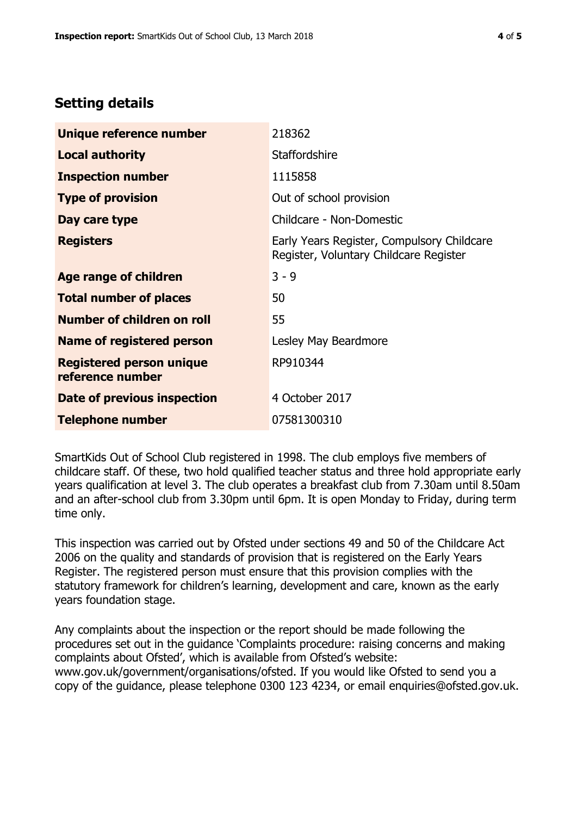# **Setting details**

| Unique reference number                             | 218362                                                                               |  |
|-----------------------------------------------------|--------------------------------------------------------------------------------------|--|
| <b>Local authority</b>                              | <b>Staffordshire</b>                                                                 |  |
| <b>Inspection number</b>                            | 1115858                                                                              |  |
| <b>Type of provision</b>                            | Out of school provision                                                              |  |
| Day care type                                       | Childcare - Non-Domestic                                                             |  |
| <b>Registers</b>                                    | Early Years Register, Compulsory Childcare<br>Register, Voluntary Childcare Register |  |
| Age range of children                               | $3 - 9$                                                                              |  |
| <b>Total number of places</b>                       | 50                                                                                   |  |
| Number of children on roll                          | 55                                                                                   |  |
| Name of registered person                           | Lesley May Beardmore                                                                 |  |
| <b>Registered person unique</b><br>reference number | RP910344                                                                             |  |
| Date of previous inspection                         | 4 October 2017                                                                       |  |
| <b>Telephone number</b>                             | 07581300310                                                                          |  |

SmartKids Out of School Club registered in 1998. The club employs five members of childcare staff. Of these, two hold qualified teacher status and three hold appropriate early years qualification at level 3. The club operates a breakfast club from 7.30am until 8.50am and an after-school club from 3.30pm until 6pm. It is open Monday to Friday, during term time only.

This inspection was carried out by Ofsted under sections 49 and 50 of the Childcare Act 2006 on the quality and standards of provision that is registered on the Early Years Register. The registered person must ensure that this provision complies with the statutory framework for children's learning, development and care, known as the early years foundation stage.

Any complaints about the inspection or the report should be made following the procedures set out in the guidance 'Complaints procedure: raising concerns and making complaints about Ofsted', which is available from Ofsted's website: www.gov.uk/government/organisations/ofsted. If you would like Ofsted to send you a copy of the guidance, please telephone 0300 123 4234, or email enquiries@ofsted.gov.uk.